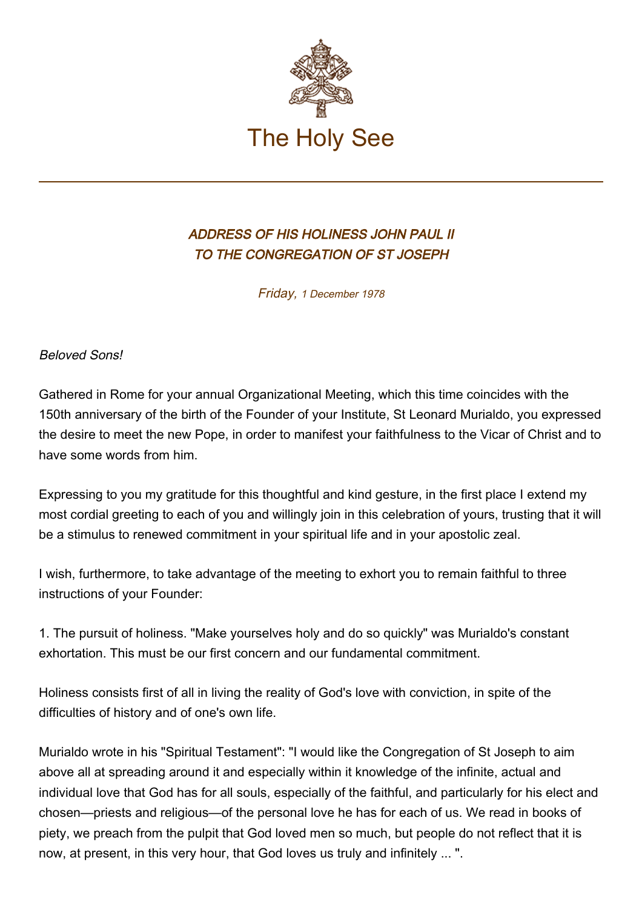

## ADDRESS OF HIS HOLINESS JOHN PAUL II TO THE CONGREGATION OF ST JOSEPH

Friday, 1 December 1978

Beloved Sons!

Gathered in Rome for your annual Organizational Meeting, which this time coincides with the 150th anniversary of the birth of the Founder of your Institute, St Leonard Murialdo, you expressed the desire to meet the new Pope, in order to manifest your faithfulness to the Vicar of Christ and to have some words from him.

Expressing to you my gratitude for this thoughtful and kind gesture, in the first place I extend my most cordial greeting to each of you and willingly join in this celebration of yours, trusting that it will be a stimulus to renewed commitment in your spiritual life and in your apostolic zeal.

I wish, furthermore, to take advantage of the meeting to exhort you to remain faithful to three instructions of your Founder:

1. The pursuit of holiness. "Make yourselves holy and do so quickly" was Murialdo's constant exhortation. This must be our first concern and our fundamental commitment.

Holiness consists first of all in living the reality of God's love with conviction, in spite of the difficulties of history and of one's own life.

Murialdo wrote in his "Spiritual Testament": "I would like the Congregation of St Joseph to aim above all at spreading around it and especially within it knowledge of the infinite, actual and individual love that God has for all souls, especially of the faithful, and particularly for his elect and chosen—priests and religious—of the personal love he has for each of us. We read in books of piety, we preach from the pulpit that God loved men so much, but people do not reflect that it is now, at present, in this very hour, that God loves us truly and infinitely ... ".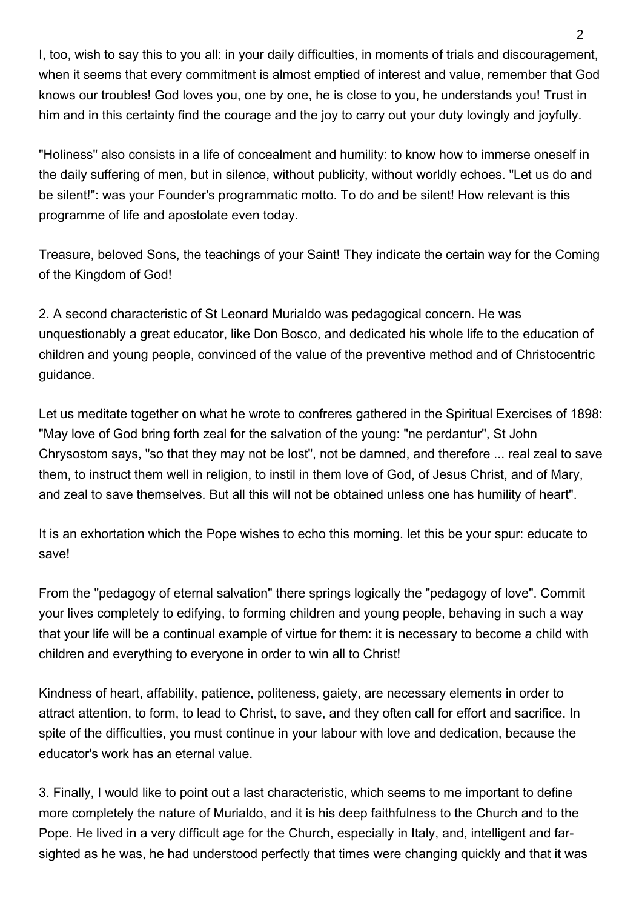I, too, wish to say this to you all: in your daily difficulties, in moments of trials and discouragement, when it seems that every commitment is almost emptied of interest and value, remember that God knows our troubles! God loves you, one by one, he is close to you, he understands you! Trust in him and in this certainty find the courage and the joy to carry out your duty lovingly and joyfully.

"Holiness" also consists in a life of concealment and humility: to know how to immerse oneself in the daily suffering of men, but in silence, without publicity, without worldly echoes. "Let us do and be silent!": was your Founder's programmatic motto. To do and be silent! How relevant is this programme of life and apostolate even today.

Treasure, beloved Sons, the teachings of your Saint! They indicate the certain way for the Coming of the Kingdom of God!

2. A second characteristic of St Leonard Murialdo was pedagogical concern. He was unquestionably a great educator, like Don Bosco, and dedicated his whole life to the education of children and young people, convinced of the value of the preventive method and of Christocentric guidance.

Let us meditate together on what he wrote to confreres gathered in the Spiritual Exercises of 1898: "May love of God bring forth zeal for the salvation of the young: "ne perdantur", St John Chrysostom says, "so that they may not be lost", not be damned, and therefore ... real zeal to save them, to instruct them well in religion, to instil in them love of God, of Jesus Christ, and of Mary, and zeal to save themselves. But all this will not be obtained unless one has humility of heart".

It is an exhortation which the Pope wishes to echo this morning. let this be your spur: educate to save!

From the "pedagogy of eternal salvation" there springs logically the "pedagogy of love". Commit your lives completely to edifying, to forming children and young people, behaving in such a way that your life will be a continual example of virtue for them: it is necessary to become a child with children and everything to everyone in order to win all to Christ!

Kindness of heart, affability, patience, politeness, gaiety, are necessary elements in order to attract attention, to form, to lead to Christ, to save, and they often call for effort and sacrifice. In spite of the difficulties, you must continue in your labour with love and dedication, because the educator's work has an eternal value.

3. Finally, I would like to point out a last characteristic, which seems to me important to define more completely the nature of Murialdo, and it is his deep faithfulness to the Church and to the Pope. He lived in a very difficult age for the Church, especially in Italy, and, intelligent and farsighted as he was, he had understood perfectly that times were changing quickly and that it was